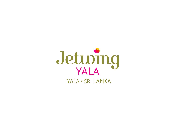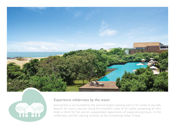



## Experience wilderness by the water

Jetwing Yala is surrounded by the second largest national park in Sri Lanka. A sea side beacon for luxury tourism along the southern coast of Sri Lanka, presenting all who enter a thirst for fun and an unparalleled opportunity of experiencing luxury in the wilderness and the calming serenity of the enchanting Indian Ocean.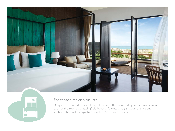



## For those simpler pleasures

Uniquely decorated to seamlessly blend with the surrounding forest environment, each of the rooms at Jetwing Yala boast a flawless amalgamation of style and sophistication with a signature touch of Sri Lankan vibrance.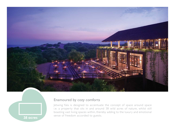



# Enamoured by cozy comforts

Jetwing Yala is designed to accentuate the concept of space around space i.e. a property that sits in and around 38 wild acres of nature, whilst still boasting vast living spaces within, thereby adding to the luxury and emotional sense of freedom accorded to guests.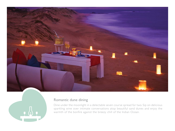



### Romantic dune dining

Dine under the moonlight in a delectable seven course spread for two. Sip on delicious sparkling wine over intimate conversations atop beautiful sand dunes and enjoy the warmth of the bonfire against the breezy chill of the Indian Ocean.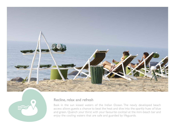



### Recline, relax and refresh

Bask in the sun kissed waters of the Indian Ocean. The newly developed beach access allows guests a chance to beat the heat and dive into the sparkly hues of blue and green. Quench your thirst with your favourite cocktail at the mini-beach bar and enjoy the cooling waters that are safe and guarded by lifeguards.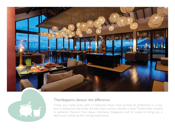



#### Thambapanni, devour the difference

Tickle your taste buds with a traditional Asian meal primed to perfection in a clay pot. A restaurant that fuses the best kept culinary secrets in Asia. Traditionally cooked in authentic flavours from Japan, Indonesia, Singapore and Sri Lanka to bring you a deliciously satisfying fine dining experience.